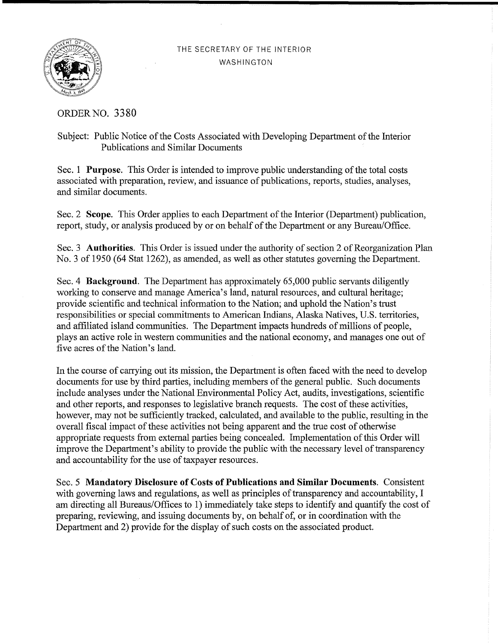## THE SECRETARY OF THE INTERIOR WASHINGTON



ORDERNO. **3380** 

## Subject: Public Notice of the Costs Associated with Developing Department of the Interior Publications and Similar Documents

Sec. 1 **Purpose**. This Order is intended to improve public understanding of the total costs associated with preparation, review, and issuance of publications, reports, studies, analyses, and similar documents.

Sec. 2 Scope. This Order applies to each Department of the Interior (Department) publication, report, study, or analysis produced by or on behalf of the Department or any Bureau/Office.

Sec. 3 **Authorities**. This Order is issued under the authority of section 2 of Reorganization Plan No. 3 of 1950 (64 Stat 1262), as amended, as well as other statutes governing the Department.

Sec. 4 **Background.** The Department has approximately 65,000 public servants diligently working to conserve and manage America's land, natural resources, and cultural heritage; provide scientific and technical information to the Nation; and uphold the Nation's trust responsibilities or special commitments to American Indians, Alaska Natives, U.S. territories, and affiliated island communities. The Department impacts hundreds of millions of people, plays an active role in western communities and the national economy, and manages one out of five acres of the Nation's land.

In the course of carrying out its mission, the Department is often faced with the need to develop documents for use by third parties, including members of the general public. Such documents include analyses under the National Environmental Policy Act, audits, investigations, scientific and other reports, and responses to legislative branch requests. The cost of these activities, however, may not be sufficiently tracked, calculated, and available to the public, resulting in the overall fiscal impact of these activities not being apparent and the true cost of otherwise appropriate requests from external parties being concealed. Implementation ofthis Order will improve the Department's ability to provide the public with the necessary level of transparency and accountability for the use of taxpayer resources.

Sec. 5 **Mandatory Disclosure of Costs of Publications and Similar Documents.** Consistent with governing laws and regulations, as well as principles of transparency and accountability, I am directing all Bureaus/Offices to 1) immediately take steps to identify and quantify the cost of preparing, reviewing, and issuing documents by, on behalf of, or in coordination with the Department and 2) provide for the display of such costs on the associated product.